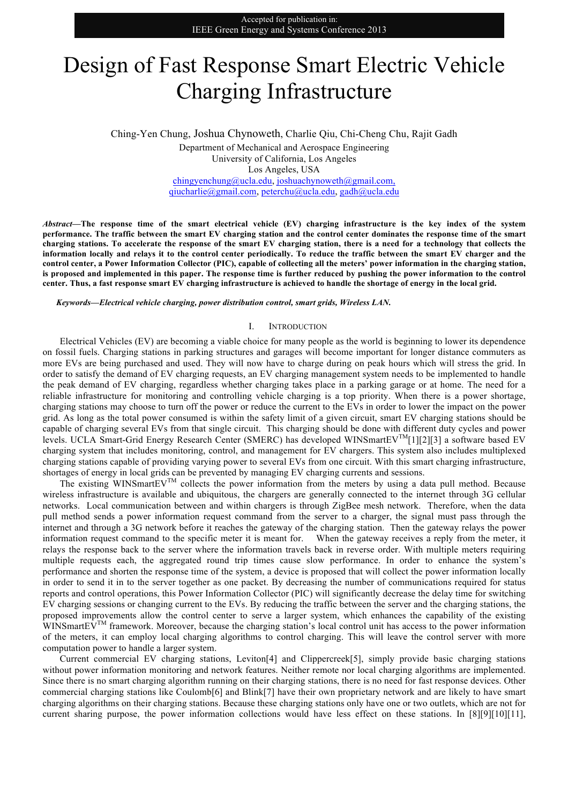# Design of Fast Response Smart Electric Vehicle Charging Infrastructure

Ching-Yen Chung, Joshua Chynoweth, Charlie Qiu, Chi-Cheng Chu, Rajit Gadh Department of Mechanical and Aerospace Engineering University of California, Los Angeles Los Angeles, USA chingyenchung@ucla.edu, joshuachynoweth@gmail.com, qiucharlie@gmail.com, peterchu@ucla.edu, gadh@ucla.edu

*Abstract***—The response time of the smart electrical vehicle (EV) charging infrastructure is the key index of the system performance. The traffic between the smart EV charging station and the control center dominates the response time of the smart charging stations. To accelerate the response of the smart EV charging station, there is a need for a technology that collects the information locally and relays it to the control center periodically. To reduce the traffic between the smart EV charger and the control center, a Power Information Collector (PIC), capable of collecting all the meters' power information in the charging station, is proposed and implemented in this paper. The response time is further reduced by pushing the power information to the control center. Thus, a fast response smart EV charging infrastructure is achieved to handle the shortage of energy in the local grid.**

*Keywords—Electrical vehicle charging, power distribution control, smart grids, Wireless LAN.*

#### I. INTRODUCTION

Electrical Vehicles (EV) are becoming a viable choice for many people as the world is beginning to lower its dependence on fossil fuels. Charging stations in parking structures and garages will become important for longer distance commuters as more EVs are being purchased and used. They will now have to charge during on peak hours which will stress the grid. In order to satisfy the demand of EV charging requests, an EV charging management system needs to be implemented to handle the peak demand of EV charging, regardless whether charging takes place in a parking garage or at home. The need for a reliable infrastructure for monitoring and controlling vehicle charging is a top priority. When there is a power shortage, charging stations may choose to turn off the power or reduce the current to the EVs in order to lower the impact on the power grid. As long as the total power consumed is within the safety limit of a given circuit, smart EV charging stations should be capable of charging several EVs from that single circuit. This charging should be done with different duty cycles and power levels. UCLA Smart-Grid Energy Research Center (SMERC) has developed WINSmartEVTM[1][2][3] a software based EV charging system that includes monitoring, control, and management for EV chargers. This system also includes multiplexed charging stations capable of providing varying power to several EVs from one circuit. With this smart charging infrastructure, shortages of energy in local grids can be prevented by managing EV charging currents and sessions.

The existing WINSmartEVTM collects the power information from the meters by using a data pull method. Because wireless infrastructure is available and ubiquitous, the chargers are generally connected to the internet through 3G cellular networks. Local communication between and within chargers is through ZigBee mesh network. Therefore, when the data pull method sends a power information request command from the server to a charger, the signal must pass through the internet and through a 3G network before it reaches the gateway of the charging station. Then the gateway relays the power information request command to the specific meter it is meant for. When the gateway receives a reply from the meter, it relays the response back to the server where the information travels back in reverse order. With multiple meters requiring multiple requests each, the aggregated round trip times cause slow performance. In order to enhance the system's performance and shorten the response time of the system, a device is proposed that will collect the power information locally in order to send it in to the server together as one packet. By decreasing the number of communications required for status reports and control operations, this Power Information Collector (PIC) will significantly decrease the delay time for switching EV charging sessions or changing current to the EVs. By reducing the traffic between the server and the charging stations, the proposed improvements allow the control center to serve a larger system, which enhances the capability of the existing WINSmartEV<sup>TM</sup> framework. Moreover, because the charging station's local control unit has access to the power information of the meters, it can employ local charging algorithms to control charging. This will leave the control server with more computation power to handle a larger system.

Current commercial EV charging stations, Leviton[4] and Clippercreek[5], simply provide basic charging stations without power information monitoring and network features. Neither remote nor local charging algorithms are implemented. Since there is no smart charging algorithm running on their charging stations, there is no need for fast response devices. Other commercial charging stations like Coulomb[6] and Blink[7] have their own proprietary network and are likely to have smart charging algorithms on their charging stations. Because these charging stations only have one or two outlets, which are not for current sharing purpose, the power information collections would have less effect on these stations. In [8][9][10][11],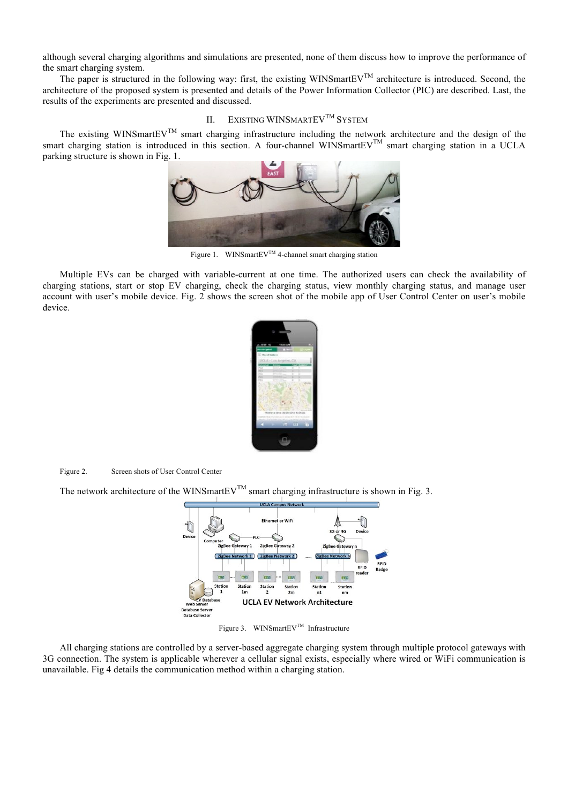although several charging algorithms and simulations are presented, none of them discuss how to improve the performance of the smart charging system.

The paper is structured in the following way: first, the existing WINSmartEV<sup>TM</sup> architecture is introduced. Second, the architecture of the proposed system is presented and details of the Power Information Collector (PIC) are described. Last, the results of the experiments are presented and discussed.

## II. EXISTING WINSMARTEV<sup>TM</sup> SYSTEM

The existing WINSmartEV<sup>TM</sup> smart charging infrastructure including the network architecture and the design of the smart charging station is introduced in this section. A four-channel WINSmartEVTM smart charging station in a UCLA parking structure is shown in Fig. 1.



Figure 1. WINSmartEV<sup>TM</sup> 4-channel smart charging station

Multiple EVs can be charged with variable-current at one time. The authorized users can check the availability of charging stations, start or stop EV charging, check the charging status, view monthly charging status, and manage user account with user's mobile device. Fig. 2 shows the screen shot of the mobile app of User Control Center on user's mobile device.



Figure 2. Screen shots of User Control Center

The network architecture of the WINSmartEV<sup>TM</sup> smart charging infrastructure is shown in Fig. 3.



Figure 3. WINSmartEV<sup>TM</sup> Infrastructure

All charging stations are controlled by a server-based aggregate charging system through multiple protocol gateways with 3G connection. The system is applicable wherever a cellular signal exists, especially where wired or WiFi communication is unavailable. Fig 4 details the communication method within a charging station.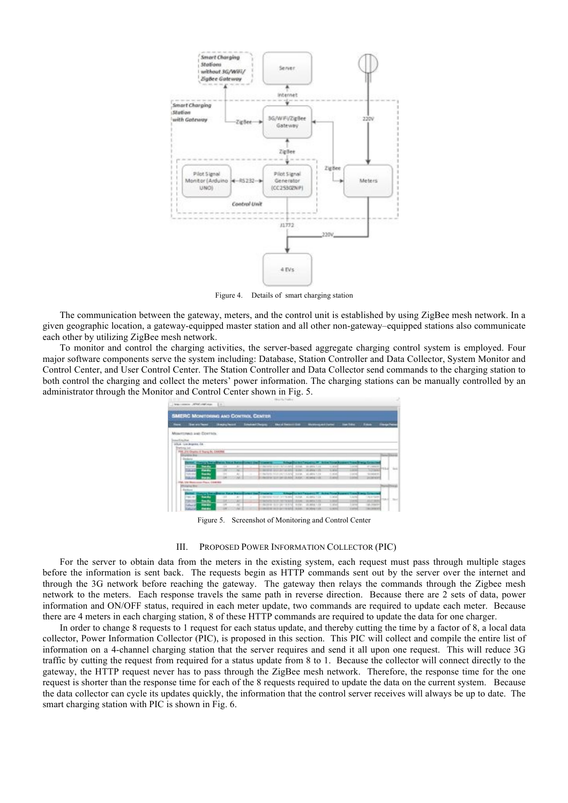

Figure 4. Details of smart charging station

The communication between the gateway, meters, and the control unit is established by using ZigBee mesh network. In a given geographic location, a gateway-equipped master station and all other non-gateway–equipped stations also communicate each other by utilizing ZigBee mesh network.

To monitor and control the charging activities, the server-based aggregate charging control system is employed. Four major software components serve the system including: Database, Station Controller and Data Collector, System Monitor and Control Center, and User Control Center. The Station Controller and Data Collector send commands to the charging station to both control the charging and collect the meters' power information. The charging stations can be manually controlled by an administrator through the Monitor and Control Center shown in Fig. 5.

|                                                    | The company of the continue . In                                                                                                                                                                                                                                                                                                                         |                                                                      |                                                                                                     | North Techni                                                                                                                                                                                                                |                                                                                                                                    |                                                                                                                                       |                                                                                            |                                                                |
|----------------------------------------------------|----------------------------------------------------------------------------------------------------------------------------------------------------------------------------------------------------------------------------------------------------------------------------------------------------------------------------------------------------------|----------------------------------------------------------------------|-----------------------------------------------------------------------------------------------------|-----------------------------------------------------------------------------------------------------------------------------------------------------------------------------------------------------------------------------|------------------------------------------------------------------------------------------------------------------------------------|---------------------------------------------------------------------------------------------------------------------------------------|--------------------------------------------------------------------------------------------|----------------------------------------------------------------|
| <b>SMERC MONITORING AND CONTROL CENTER</b>         |                                                                                                                                                                                                                                                                                                                                                          |                                                                      |                                                                                                     |                                                                                                                                                                                                                             |                                                                                                                                    |                                                                                                                                       |                                                                                            |                                                                |
| $\overline{\phantom{a}}$                           | <b>But on fame</b>                                                                                                                                                                                                                                                                                                                                       | <b>Baggleron</b>                                                     | <b><i><u>Sendmit (Surges)</u></i></b>                                                               | <b>Shaked December 2000</b>                                                                                                                                                                                                 | <b>Mandanas Act Serber</b>                                                                                                         | <b>Jan Title TV</b>                                                                                                                   | -                                                                                          | <b><i><u>Singarius</u></i></b>                                 |
| <b><i>Admittautha</i></b><br><b>Shericans</b> Latt | Missimmed and Controls.<br>UGLA - Lis Angeles, EA<br>PRE 214 Ohams: E Tearra Br, CAROBE<br>Likemated Stock<br><b>Distance</b><br>Findell, Chinary State-Planes, State States<br>Print Adv<br><b>Tacher</b><br><b>Bando</b><br><b>PORACU</b><br>1976 64-5<br><b>San Are</b><br><b>COLOR</b><br><b>Backs</b><br>as Phone, Lisbanese<br><b>Tel: Arte Ho</b> | $\sim$<br><b>HE</b><br>$\rightarrow$<br>m                            | <b>Service Controller Controller Controller</b><br>$\overline{a}$<br>÷<br>$\overline{a}$<br>-<br>M. | Collection for the collection<br><b>STAR</b><br>mented to child he and<br><b>STAR</b><br>C-Reflects from one fundated<br>3136<br>EVIDENTIST TEXTURE TO BOAT A PART                                                          | <b>School Control President PF</b> Action Products<br>ALCOHOL: 1.1.19<br><b>WALKWAY 1 FOR</b><br>49.904.1.09<br><b>ILESSED FOR</b> | <b>CONTROL</b><br><b>SALE</b><br><b>Links</b><br>--<br>C. MAC<br><b>Grand</b><br>2,992<br><b>Cardon</b>                               | and Property and Construction<br>an London<br>Total Market<br>GLASS AT AT<br>political and | <b><i><u>Incorporate</u></i></b><br><b>Side</b><br><b>HELA</b> |
|                                                    | <b>Cherging Bay</b>                                                                                                                                                                                                                                                                                                                                      |                                                                      |                                                                                                     |                                                                                                                                                                                                                             |                                                                                                                                    |                                                                                                                                       |                                                                                            | <b>Rend Trees</b>                                              |
|                                                    | <b>Barkers</b><br><b>Artist Sharpry for</b><br>$-34.14$<br><b>Sandy</b><br><b>Backs</b><br><b>CALL CALL</b><br>120.12<br>$-1$<br><b>Bandon</b><br><b>CARL COUP</b>                                                                                                                                                                                       | <b>Charles</b><br>$-14$<br>$\sim$<br>$\overline{1}$<br>$\rightarrow$ | <b>March Council Considered</b><br>$\mathcal{L}$<br>٠<br>×<br>u                                     | <b>School or will have a more</b><br>CONTACT GAR IN THANK<br><b>Ballista</b><br><b>STATE</b><br><b>CANONA CASE OF CALLS</b><br>190303 1211 231 241 251 31 32 33<br><b>MODERN THESE OUT THE KITCH. IN EACH 1 YEAR 1 STR.</b> | <b>John Power</b><br>49-14039-1-120-2<br><b>WARRANTE</b><br>49, 565-811-138                                                        | and Financial<br><b>SAM</b><br>To Mark<br><b>STATISTICS</b><br>--<br>To provide<br><b>CONTRACT</b><br><b>VOID</b><br><b>STATISTIC</b> | <b>CALIFORNIA</b><br>ALC: NO<br>14. House<br>to concert                                    | ma di<br>Titul 1                                               |

Figure 5. Screenshot of Monitoring and Control Center

### III. PROPOSED POWER INFORMATION COLLECTOR (PIC)

For the server to obtain data from the meters in the existing system, each request must pass through multiple stages before the information is sent back. The requests begin as HTTP commands sent out by the server over the internet and through the 3G network before reaching the gateway. The gateway then relays the commands through the Zigbee mesh network to the meters. Each response travels the same path in reverse direction. Because there are 2 sets of data, power information and ON/OFF status, required in each meter update, two commands are required to update each meter. Because there are 4 meters in each charging station, 8 of these HTTP commands are required to update the data for one charger.

In order to change 8 requests to 1 request for each status update, and thereby cutting the time by a factor of 8, a local data collector, Power Information Collector (PIC), is proposed in this section. This PIC will collect and compile the entire list of information on a 4-channel charging station that the server requires and send it all upon one request. This will reduce 3G traffic by cutting the request from required for a status update from 8 to 1. Because the collector will connect directly to the gateway, the HTTP request never has to pass through the ZigBee mesh network. Therefore, the response time for the one request is shorter than the response time for each of the 8 requests required to update the data on the current system. Because the data collector can cycle its updates quickly, the information that the control server receives will always be up to date. The smart charging station with PIC is shown in Fig. 6.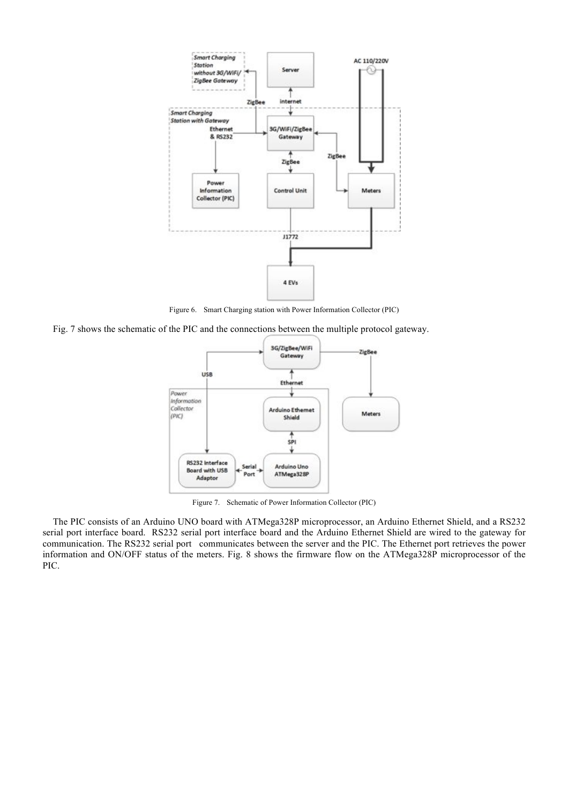

Figure 6. Smart Charging station with Power Information Collector (PIC)

Fig. 7 shows the schematic of the PIC and the connections between the multiple protocol gateway.



Figure 7. Schematic of Power Information Collector (PIC)

The PIC consists of an Arduino UNO board with ATMega328P microprocessor, an Arduino Ethernet Shield, and a RS232 serial port interface board. RS232 serial port interface board and the Arduino Ethernet Shield are wired to the gateway for communication. The RS232 serial port communicates between the server and the PIC. The Ethernet port retrieves the power information and ON/OFF status of the meters. Fig. 8 shows the firmware flow on the ATMega328P microprocessor of the PIC.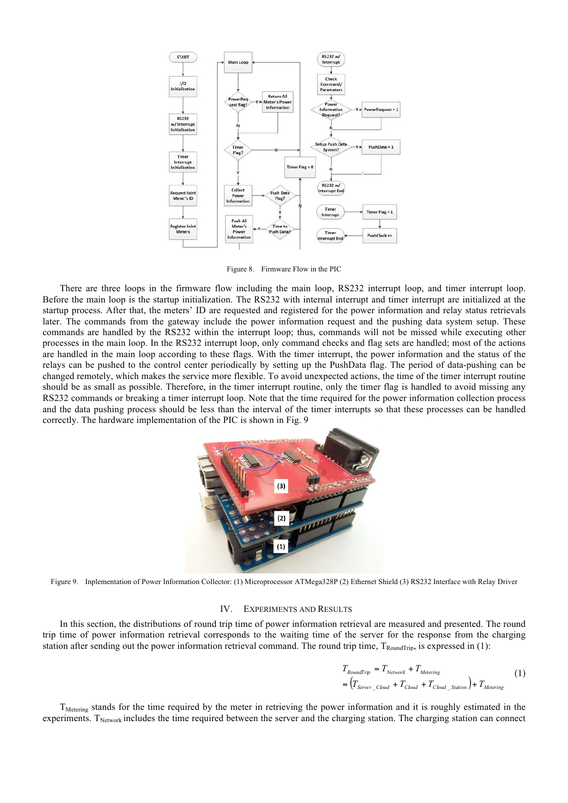

Figure 8. Firmware Flow in the PIC

There are three loops in the firmware flow including the main loop, RS232 interrupt loop, and timer interrupt loop. Before the main loop is the startup initialization. The RS232 with internal interrupt and timer interrupt are initialized at the startup process. After that, the meters' ID are requested and registered for the power information and relay status retrievals later. The commands from the gateway include the power information request and the pushing data system setup. These commands are handled by the RS232 within the interrupt loop; thus, commands will not be missed while executing other processes in the main loop. In the RS232 interrupt loop, only command checks and flag sets are handled; most of the actions are handled in the main loop according to these flags. With the timer interrupt, the power information and the status of the relays can be pushed to the control center periodically by setting up the PushData flag. The period of data-pushing can be changed remotely, which makes the service more flexible. To avoid unexpected actions, the time of the timer interrupt routine should be as small as possible. Therefore, in the timer interrupt routine, only the timer flag is handled to avoid missing any RS232 commands or breaking a timer interrupt loop. Note that the time required for the power information collection process and the data pushing process should be less than the interval of the timer interrupts so that these processes can be handled correctly. The hardware implementation of the PIC is shown in Fig. 9



Figure 9. Inplementation of Power Information Collector: (1) Microprocessor ATMega328P (2) Ethernet Shield (3) RS232 Interface with Relay Driver

#### IV. EXPERIMENTS AND RESULTS

In this section, the distributions of round trip time of power information retrieval are measured and presented. The round trip time of power information retrieval corresponds to the waiting time of the server for the response from the charging station after sending out the power information retrieval command. The round trip time,  $T_{\text{RoundTip}}$ , is expressed in (1):

$$
T_{Roundtrip} = T_{Network} + T_{Metering}
$$
  
= 
$$
(T_{Server\_Cloud} + T_{Cloud} + T_{Cloud\_Station}) + T_{Metering}
$$
 (1)

T<sub>Metering</sub> stands for the time required by the meter in retrieving the power information and it is roughly estimated in the experiments. T<sub>Network</sub> includes the time required between the server and the charging station. The charging station can connect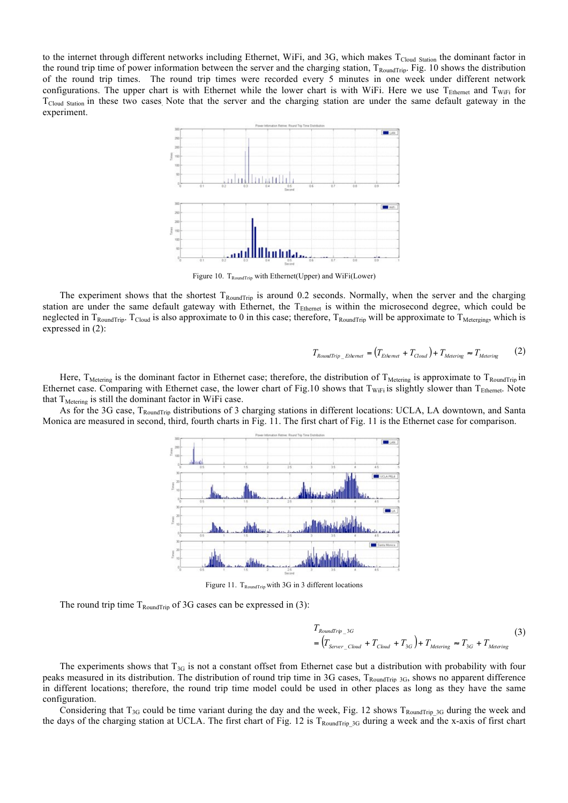to the internet through different networks including Ethernet, WiFi, and 3G, which makes T<sub>Cloud Station</sub> the dominant factor in the round trip time of power information between the server and the charging station,  $T_{\text{RoundTri}}$ . Fig. 10 shows the distribution of the round trip times. The round trip times were recorded every 5 minutes in one week under different network configurations. The upper chart is with Ethernet while the lower chart is with WiFi. Here we use  $T_{\text{Ethernet}}$  and  $T_{\text{WiFi}}$  for  $T_{Cloud\ Station}$  in these two cases. Note that the server and the charging station are under the same default gateway in the experiment.



Figure 10. T<sub>RoundTrip</sub> with Ethernet(Upper) and WiFi(Lower)

The experiment shows that the shortest  $T_{RoundTrip}$  is around 0.2 seconds. Normally, when the server and the charging station are under the same default gateway with Ethernet, the T<sub>Ethernet</sub> is within the microsecond degree, which could be neglected in  $T_{\text{RoundTip}}$ .  $T_{\text{Cloud}}$  is also approximate to 0 in this case; therefore,  $T_{\text{RoundTip}}$  will be approximate to  $T_{\text{Meterging}}$ , which is expressed in (2):

$$
T_{RoundTrip\_Ethemet} = (T_{Ethemet} + T_{Cloud}) + T_{Metering} \approx T_{Metering} \tag{2}
$$

Here,  $T_{\text{Metering}}$  is the dominant factor in Ethernet case; therefore, the distribution of  $T_{\text{Metering}}$  is approximate to  $T_{\text{RoundTip}}$  in Ethernet case. Comparing with Ethernet case, the lower chart of Fig.10 shows that  $T_{WIFi}$  is slightly slower than  $T_{Ethernet}$ . Note that  $T_{Metering}$  is still the dominant factor in WiFi case.

As for the 3G case, TRoundTrip distributions of 3 charging stations in different locations: UCLA, LA downtown, and Santa Monica are measured in second, third, fourth charts in Fig. 11. The first chart of Fig. 11 is the Ethernet case for comparison.



Figure 11.  $T_{\text{RoundTip}}$  with 3G in 3 different locations

The round trip time  $T_{\text{RoundTrip}}$  of 3G cases can be expressed in (3):

$$
T_{Roundtrip\_3G}
$$
\n
$$
= (T_{Server\_Cloud} + T_{Cloud} + T_{3G}) + T_{Metering} \approx T_{3G} + T_{Metering}
$$
\n(3)

The experiments shows that  $T_{3G}$  is not a constant offset from Ethernet case but a distribution with probability with four peaks measured in its distribution. The distribution of round trip time in 3G cases, T<sub>RoundTrip</sub> 3G, shows no apparent difference in different locations; therefore, the round trip time model could be used in other places as long as they have the same configuration.

Considering that  $T_{3G}$  could be time variant during the day and the week, Fig. 12 shows  $T_{RoundTrip}$  3G during the week and the days of the charging station at UCLA. The first chart of Fig. 12 is  $T_{\text{RoundTip 3G}}$  during a week and the x-axis of first chart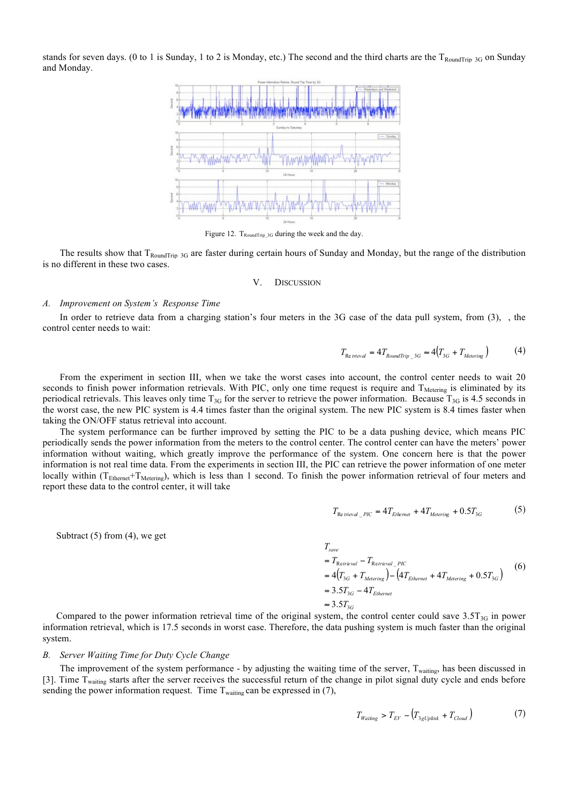stands for seven days. (0 to 1 is Sunday, 1 to 2 is Monday, etc.) The second and the third charts are the T<sub>RoundTrip</sub> 3G on Sunday and Monday.



Figure 12. T<sub>RoundTrip\_3G</sub> during the week and the day

The results show that  $T_{RoundTip}$  3G are faster during certain hours of Sunday and Monday, but the range of the distribution is no different in these two cases.

#### V. DISCUSSION

## *A. Improvement on System's Response Time*

In order to retrieve data from a charging station's four meters in the 3G case of the data pull system, from (3), , the control center needs to wait:

$$
T_{\text{Re trivial}} = 4T_{\text{RoundTrip 3G}} \approx 4(T_{3G} + T_{\text{Metering}})
$$
 (4)

From the experiment in section III, when we take the worst cases into account, the control center needs to wait 20 seconds to finish power information retrievals. With PIC, only one time request is require and  $T_{\text{Metering}}$  is eliminated by its periodical retrievals. This leaves only time  $T_{3G}$  for the server to retrieve the power information. Because  $T_{3G}$  is 4.5 seconds in the worst case, the new PIC system is 4.4 times faster than the original system. The new PIC system is 8.4 times faster when taking the ON/OFF status retrieval into account.

The system performance can be further improved by setting the PIC to be a data pushing device, which means PIC periodically sends the power information from the meters to the control center. The control center can have the meters' power information without waiting, which greatly improve the performance of the system. One concern here is that the power information is not real time data. From the experiments in section III, the PIC can retrieve the power information of one meter locally within  $(T_{\text{Ethernet}}+T_{\text{Metering}})$ , which is less than 1 second. To finish the power information retrieval of four meters and report these data to the control center, it will take

$$
T_{\text{Re }t\text{rieval}}_{PIC} = 4T_{\text{Ethermal}} + 4T_{\text{Metering}} + 0.5T_{3G} \tag{5}
$$

Subtract  $(5)$  from  $(4)$ , we get

$$
T_{save}
$$
  
=  $T_{Retrieval} - T_{Retrieval\_PIC}$   
=  $4(T_{3G} + T_{Metering}) - (4T_{Ethernet} + 4T_{Metering} + 0.5T_{3G})$  (6)  
=  $3.5T_{3G} - 4T_{Ethernet}$   
 $\approx 3.5T_{3G}$ 

Compared to the power information retrieval time of the original system, the control center could save  $3.5T_{3G}$  in power information retrieval, which is 17.5 seconds in worst case. Therefore, the data pushing system is much faster than the original system.

## *B. Server Waiting Time for Duty Cycle Change*

The improvement of the system performance - by adjusting the waiting time of the server,  $T_{\text{waiting}}$ , has been discussed in [3]. Time T<sub>waiting</sub> starts after the server receives the successful return of the change in pilot signal duty cycle and ends before sending the power information request. Time  $T_{\text{waiting}}$  can be expressed in (7),

$$
T_{Waiting} > T_{EV} - \left(T_{3gUplink} + T_{Cloud}\right) \tag{7}
$$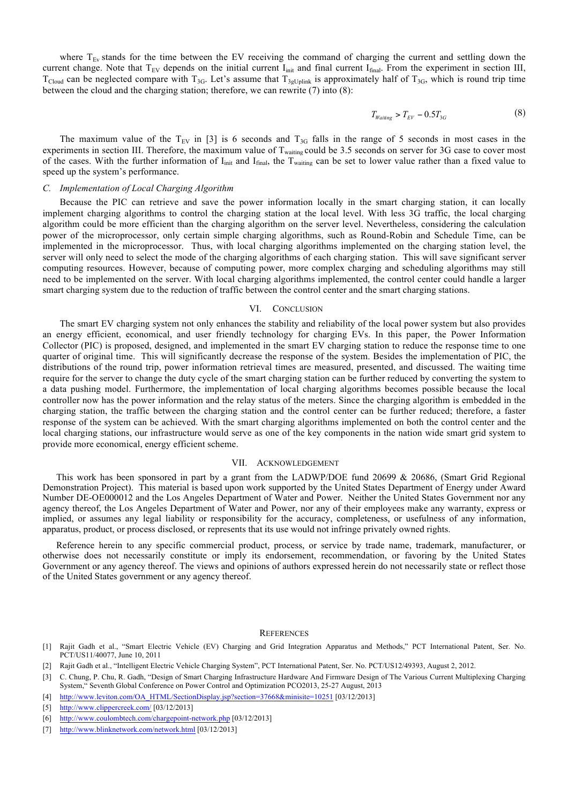where  $T_{Ev}$  stands for the time between the EV receiving the command of charging the current and settling down the current change. Note that  $T_{EV}$  depends on the initial current  $I_{init}$  and final current  $I_{final}$ . From the experiment in section III,  $T_{Cloud}$  can be neglected compare with  $T_{3G}$ . Let's assume that  $T_{3gUnlink}$  is approximately half of  $T_{3G}$ , which is round trip time between the cloud and the charging station; therefore, we can rewrite (7) into (8):

$$
T_{Wating} > T_{EV} - 0.5T_{3G} \tag{8}
$$

The maximum value of the  $T_{EV}$  in [3] is 6 seconds and  $T_{3G}$  falls in the range of 5 seconds in most cases in the experiments in section III. Therefore, the maximum value of T<sub>waiting</sub> could be 3.5 seconds on server for 3G case to cover most of the cases. With the further information of I<sub>init</sub> and I<sub>final</sub>, the T<sub>waiting</sub> can be set to lower value rather than a fixed value to speed up the system's performance.

#### *C. Implementation of Local Charging Algorithm*

Because the PIC can retrieve and save the power information locally in the smart charging station, it can locally implement charging algorithms to control the charging station at the local level. With less 3G traffic, the local charging algorithm could be more efficient than the charging algorithm on the server level. Nevertheless, considering the calculation power of the microprocessor, only certain simple charging algorithms, such as Round-Robin and Schedule Time, can be implemented in the microprocessor. Thus, with local charging algorithms implemented on the charging station level, the server will only need to select the mode of the charging algorithms of each charging station. This will save significant server computing resources. However, because of computing power, more complex charging and scheduling algorithms may still need to be implemented on the server. With local charging algorithms implemented, the control center could handle a larger smart charging system due to the reduction of traffic between the control center and the smart charging stations.

## VI. CONCLUSION

The smart EV charging system not only enhances the stability and reliability of the local power system but also provides an energy efficient, economical, and user friendly technology for charging EVs. In this paper, the Power Information Collector (PIC) is proposed, designed, and implemented in the smart EV charging station to reduce the response time to one quarter of original time. This will significantly decrease the response of the system. Besides the implementation of PIC, the distributions of the round trip, power information retrieval times are measured, presented, and discussed. The waiting time require for the server to change the duty cycle of the smart charging station can be further reduced by converting the system to a data pushing model. Furthermore, the implementation of local charging algorithms becomes possible because the local controller now has the power information and the relay status of the meters. Since the charging algorithm is embedded in the charging station, the traffic between the charging station and the control center can be further reduced; therefore, a faster response of the system can be achieved. With the smart charging algorithms implemented on both the control center and the local charging stations, our infrastructure would serve as one of the key components in the nation wide smart grid system to provide more economical, energy efficient scheme.

## VII. ACKNOWLEDGEMENT

This work has been sponsored in part by a grant from the LADWP/DOE fund 20699 & 20686, (Smart Grid Regional Demonstration Project). This material is based upon work supported by the United States Department of Energy under Award Number DE-OE000012 and the Los Angeles Department of Water and Power. Neither the United States Government nor any agency thereof, the Los Angeles Department of Water and Power, nor any of their employees make any warranty, express or implied, or assumes any legal liability or responsibility for the accuracy, completeness, or usefulness of any information, apparatus, product, or process disclosed, or represents that its use would not infringe privately owned rights.

Reference herein to any specific commercial product, process, or service by trade name, trademark, manufacturer, or otherwise does not necessarily constitute or imply its endorsement, recommendation, or favoring by the United States Government or any agency thereof. The views and opinions of authors expressed herein do not necessarily state or reflect those of the United States government or any agency thereof.

#### **REFERENCES**

- [1] Rajit Gadh et al., "Smart Electric Vehicle (EV) Charging and Grid Integration Apparatus and Methods," PCT International Patent, Ser. No. PCT/US11/40077, June 10, 2011
- [2] Rajit Gadh et al., "Intelligent Electric Vehicle Charging System", PCT International Patent, Ser. No. PCT/US12/49393, August 2, 2012.
- [3] C. Chung, P. Chu, R. Gadh, "Design of Smart Charging Infrastructure Hardware And Firmware Design of The Various Current Multiplexing Charging System," Seventh Global Conference on Power Control and Optimization PCO2013, 25-27 August, 2013
- [4] http://www.leviton.com/OA\_HTML/SectionDisplay.jsp?section=37668&minisite=10251 [03/12/2013]
- [5] http://www.clippercreek.com/ [03/12/2013]
- [6] http://www.coulombtech.com/chargepoint-network.php [03/12/2013]
- [7] http://www.blinknetwork.com/network.html [03/12/2013]